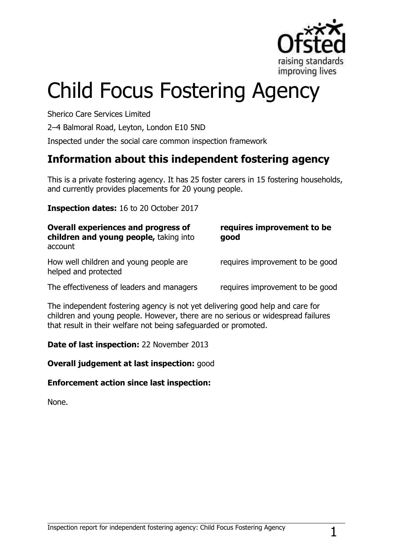

# Child Focus Fostering Agency

Sherico Care Services Limited

2–4 Balmoral Road, Leyton, London E10 5ND

Inspected under the social care common inspection framework

## **Information about this independent fostering agency**

This is a private fostering agency. It has 25 foster carers in 15 fostering households, and currently provides placements for 20 young people.

**Inspection dates:** 16 to 20 October 2017

| Overall experiences and progress of<br>children and young people, taking into<br>account | requires improvement to be<br>good |
|------------------------------------------------------------------------------------------|------------------------------------|
| How well children and young people are<br>helped and protected                           | requires improvement to be good    |
| The effectiveness of leaders and managers                                                | requires improvement to be good    |

The independent fostering agency is not yet delivering good help and care for children and young people. However, there are no serious or widespread failures that result in their welfare not being safeguarded or promoted.

**Date of last inspection:** 22 November 2013

**Overall judgement at last inspection:** good

#### **Enforcement action since last inspection:**

None.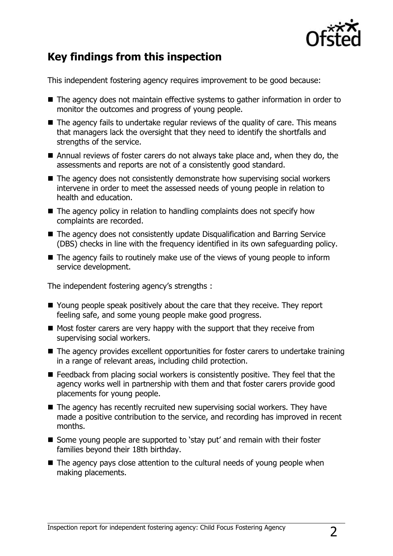

## **Key findings from this inspection**

This independent fostering agency requires improvement to be good because:

- The agency does not maintain effective systems to gather information in order to monitor the outcomes and progress of young people.
- $\blacksquare$  The agency fails to undertake regular reviews of the quality of care. This means that managers lack the oversight that they need to identify the shortfalls and strengths of the service.
- Annual reviews of foster carers do not always take place and, when they do, the assessments and reports are not of a consistently good standard.
- The agency does not consistently demonstrate how supervising social workers intervene in order to meet the assessed needs of young people in relation to health and education.
- $\blacksquare$  The agency policy in relation to handling complaints does not specify how complaints are recorded.
- The agency does not consistently update Disqualification and Barring Service (DBS) checks in line with the frequency identified in its own safeguarding policy.
- $\blacksquare$  The agency fails to routinely make use of the views of young people to inform service development.

The independent fostering agency's strengths :

- Young people speak positively about the care that they receive. They report feeling safe, and some young people make good progress.
- $\blacksquare$  Most foster carers are very happy with the support that they receive from supervising social workers.
- The agency provides excellent opportunities for foster carers to undertake training in a range of relevant areas, including child protection.
- Feedback from placing social workers is consistently positive. They feel that the agency works well in partnership with them and that foster carers provide good placements for young people.
- $\blacksquare$  The agency has recently recruited new supervising social workers. They have made a positive contribution to the service, and recording has improved in recent months.
- Some young people are supported to 'stay put' and remain with their foster families beyond their 18th birthday.
- $\blacksquare$  The agency pays close attention to the cultural needs of young people when making placements.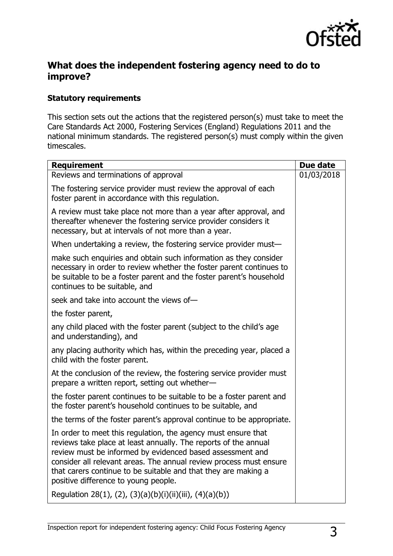

## **What does the independent fostering agency need to do to improve?**

#### **Statutory requirements**

This section sets out the actions that the registered person(s) must take to meet the Care Standards Act 2000, Fostering Services (England) Regulations 2011 and the national minimum standards. The registered person(s) must comply within the given timescales.

| <b>Requirement</b>                                                                                                                                                                                                                                                                                                                                                            | Due date   |
|-------------------------------------------------------------------------------------------------------------------------------------------------------------------------------------------------------------------------------------------------------------------------------------------------------------------------------------------------------------------------------|------------|
| Reviews and terminations of approval                                                                                                                                                                                                                                                                                                                                          | 01/03/2018 |
| The fostering service provider must review the approval of each<br>foster parent in accordance with this regulation.                                                                                                                                                                                                                                                          |            |
| A review must take place not more than a year after approval, and<br>thereafter whenever the fostering service provider considers it<br>necessary, but at intervals of not more than a year.                                                                                                                                                                                  |            |
| When undertaking a review, the fostering service provider must-                                                                                                                                                                                                                                                                                                               |            |
| make such enquiries and obtain such information as they consider<br>necessary in order to review whether the foster parent continues to<br>be suitable to be a foster parent and the foster parent's household<br>continues to be suitable, and                                                                                                                               |            |
| seek and take into account the views of-                                                                                                                                                                                                                                                                                                                                      |            |
| the foster parent,                                                                                                                                                                                                                                                                                                                                                            |            |
| any child placed with the foster parent (subject to the child's age<br>and understanding), and                                                                                                                                                                                                                                                                                |            |
| any placing authority which has, within the preceding year, placed a<br>child with the foster parent.                                                                                                                                                                                                                                                                         |            |
| At the conclusion of the review, the fostering service provider must<br>prepare a written report, setting out whether-                                                                                                                                                                                                                                                        |            |
| the foster parent continues to be suitable to be a foster parent and<br>the foster parent's household continues to be suitable, and                                                                                                                                                                                                                                           |            |
| the terms of the foster parent's approval continue to be appropriate.                                                                                                                                                                                                                                                                                                         |            |
| In order to meet this regulation, the agency must ensure that<br>reviews take place at least annually. The reports of the annual<br>review must be informed by evidenced based assessment and<br>consider all relevant areas. The annual review process must ensure<br>that carers continue to be suitable and that they are making a<br>positive difference to young people. |            |
| Regulation 28(1), (2), (3)(a)(b)(i)(ii)(iii), (4)(a)(b))                                                                                                                                                                                                                                                                                                                      |            |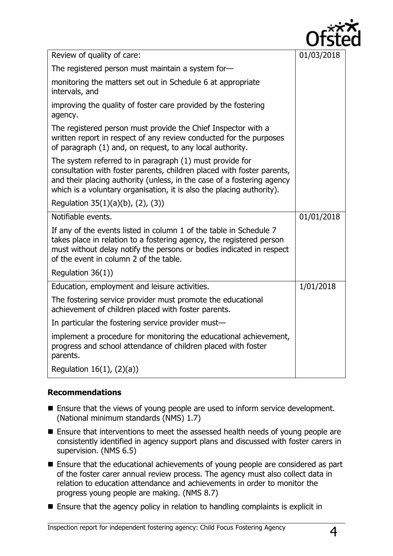

| Review of quality of care:                                                                                                                                                                                                                                                            | 01/03/2018 |
|---------------------------------------------------------------------------------------------------------------------------------------------------------------------------------------------------------------------------------------------------------------------------------------|------------|
| The registered person must maintain a system for-                                                                                                                                                                                                                                     |            |
| monitoring the matters set out in Schedule 6 at appropriate<br>intervals, and                                                                                                                                                                                                         |            |
| improving the quality of foster care provided by the fostering<br>agency.                                                                                                                                                                                                             |            |
| The registered person must provide the Chief Inspector with a<br>written report in respect of any review conducted for the purposes<br>of paragraph (1) and, on request, to any local authority.                                                                                      |            |
| The system referred to in paragraph (1) must provide for<br>consultation with foster parents, children placed with foster parents,<br>and their placing authority (unless, in the case of a fostering agency<br>which is a voluntary organisation, it is also the placing authority). |            |
| Regulation 35(1)(a)(b), (2), (3))                                                                                                                                                                                                                                                     |            |
| Notifiable events.                                                                                                                                                                                                                                                                    | 01/01/2018 |
| If any of the events listed in column 1 of the table in Schedule 7<br>takes place in relation to a fostering agency, the registered person<br>must without delay notify the persons or bodies indicated in respect<br>of the event in column 2 of the table.                          |            |
| Regulation $36(1)$ )                                                                                                                                                                                                                                                                  |            |
| Education, employment and leisure activities.                                                                                                                                                                                                                                         | 1/01/2018  |
| The fostering service provider must promote the educational<br>achievement of children placed with foster parents.                                                                                                                                                                    |            |
|                                                                                                                                                                                                                                                                                       |            |
| In particular the fostering service provider must-                                                                                                                                                                                                                                    |            |
| implement a procedure for monitoring the educational achievement,<br>progress and school attendance of children placed with foster<br>parents.                                                                                                                                        |            |

### **Recommendations**

- Ensure that the views of young people are used to inform service development. (National minimum standards (NMS) 1.7)
- **Ensure that interventions to meet the assessed health needs of young people are** consistently identified in agency support plans and discussed with foster carers in supervision. (NMS 6.5)
- Ensure that the educational achievements of young people are considered as part of the foster carer annual review process. The agency must also collect data in relation to education attendance and achievements in order to monitor the progress young people are making. (NMS 8.7)
- Ensure that the agency policy in relation to handling complaints is explicit in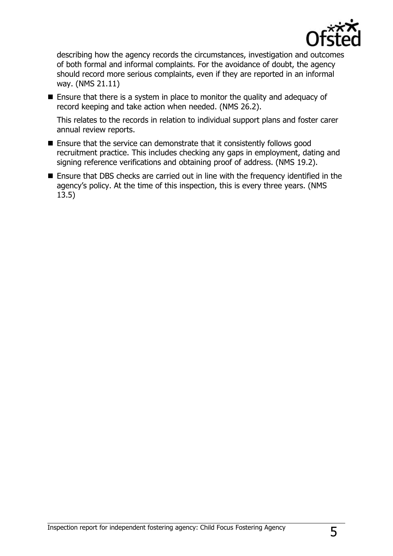

describing how the agency records the circumstances, investigation and outcomes of both formal and informal complaints. For the avoidance of doubt, the agency should record more serious complaints, even if they are reported in an informal way. (NMS 21.11)

■ Ensure that there is a system in place to monitor the quality and adequacy of record keeping and take action when needed. (NMS 26.2).

This relates to the records in relation to individual support plans and foster carer annual review reports.

- $\blacksquare$  Ensure that the service can demonstrate that it consistently follows good recruitment practice. This includes checking any gaps in employment, dating and signing reference verifications and obtaining proof of address. (NMS 19.2).
- Ensure that DBS checks are carried out in line with the frequency identified in the agency's policy. At the time of this inspection, this is every three years. (NMS 13.5)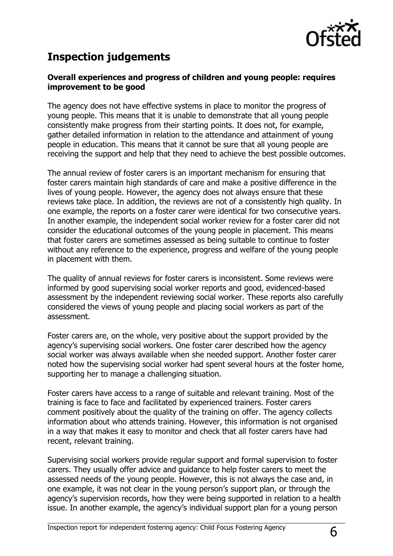

## **Inspection judgements**

#### **Overall experiences and progress of children and young people: requires improvement to be good**

The agency does not have effective systems in place to monitor the progress of young people. This means that it is unable to demonstrate that all young people consistently make progress from their starting points. It does not, for example, gather detailed information in relation to the attendance and attainment of young people in education. This means that it cannot be sure that all young people are receiving the support and help that they need to achieve the best possible outcomes.

The annual review of foster carers is an important mechanism for ensuring that foster carers maintain high standards of care and make a positive difference in the lives of young people. However, the agency does not always ensure that these reviews take place. In addition, the reviews are not of a consistently high quality. In one example, the reports on a foster carer were identical for two consecutive years. In another example, the independent social worker review for a foster carer did not consider the educational outcomes of the young people in placement. This means that foster carers are sometimes assessed as being suitable to continue to foster without any reference to the experience, progress and welfare of the young people in placement with them.

The quality of annual reviews for foster carers is inconsistent. Some reviews were informed by good supervising social worker reports and good, evidenced-based assessment by the independent reviewing social worker. These reports also carefully considered the views of young people and placing social workers as part of the assessment.

Foster carers are, on the whole, very positive about the support provided by the agency's supervising social workers. One foster carer described how the agency social worker was always available when she needed support. Another foster carer noted how the supervising social worker had spent several hours at the foster home, supporting her to manage a challenging situation.

Foster carers have access to a range of suitable and relevant training. Most of the training is face to face and facilitated by experienced trainers. Foster carers comment positively about the quality of the training on offer. The agency collects information about who attends training. However, this information is not organised in a way that makes it easy to monitor and check that all foster carers have had recent, relevant training.

Supervising social workers provide regular support and formal supervision to foster carers. They usually offer advice and guidance to help foster carers to meet the assessed needs of the young people. However, this is not always the case and, in one example, it was not clear in the young person's support plan, or through the agency's supervision records, how they were being supported in relation to a health issue. In another example, the agency's individual support plan for a young person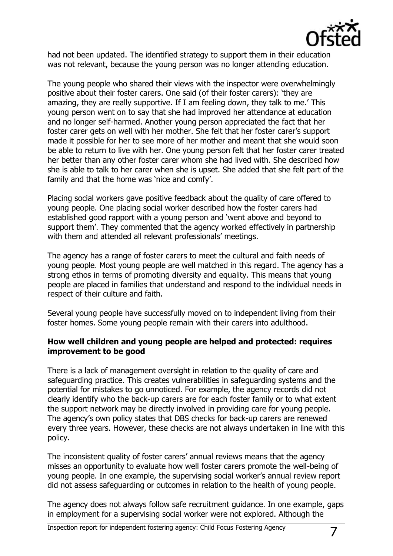

had not been updated. The identified strategy to support them in their education was not relevant, because the young person was no longer attending education.

The young people who shared their views with the inspector were overwhelmingly positive about their foster carers. One said (of their foster carers): 'they are amazing, they are really supportive. If I am feeling down, they talk to me.' This young person went on to say that she had improved her attendance at education and no longer self-harmed. Another young person appreciated the fact that her foster carer gets on well with her mother. She felt that her foster carer's support made it possible for her to see more of her mother and meant that she would soon be able to return to live with her. One young person felt that her foster carer treated her better than any other foster carer whom she had lived with. She described how she is able to talk to her carer when she is upset. She added that she felt part of the family and that the home was 'nice and comfy'.

Placing social workers gave positive feedback about the quality of care offered to young people. One placing social worker described how the foster carers had established good rapport with a young person and 'went above and beyond to support them'. They commented that the agency worked effectively in partnership with them and attended all relevant professionals' meetings.

The agency has a range of foster carers to meet the cultural and faith needs of young people. Most young people are well matched in this regard. The agency has a strong ethos in terms of promoting diversity and equality. This means that young people are placed in families that understand and respond to the individual needs in respect of their culture and faith.

Several young people have successfully moved on to independent living from their foster homes. Some young people remain with their carers into adulthood.

#### **How well children and young people are helped and protected: requires improvement to be good**

There is a lack of management oversight in relation to the quality of care and safeguarding practice. This creates vulnerabilities in safeguarding systems and the potential for mistakes to go unnoticed. For example, the agency records did not clearly identify who the back-up carers are for each foster family or to what extent the support network may be directly involved in providing care for young people. The agency's own policy states that DBS checks for back-up carers are renewed every three years. However, these checks are not always undertaken in line with this policy.

The inconsistent quality of foster carers' annual reviews means that the agency misses an opportunity to evaluate how well foster carers promote the well-being of young people. In one example, the supervising social worker's annual review report did not assess safeguarding or outcomes in relation to the health of young people.

The agency does not always follow safe recruitment guidance. In one example, gaps in employment for a supervising social worker were not explored. Although the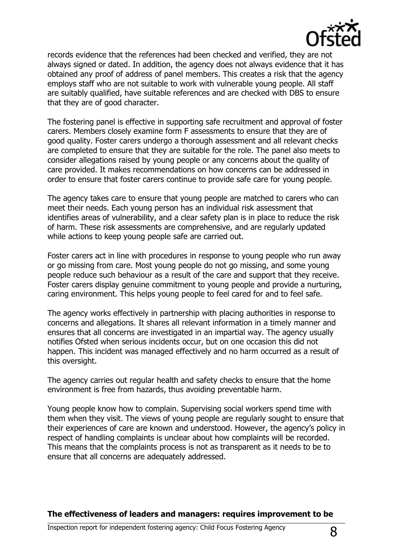

records evidence that the references had been checked and verified, they are not always signed or dated. In addition, the agency does not always evidence that it has obtained any proof of address of panel members. This creates a risk that the agency employs staff who are not suitable to work with vulnerable young people. All staff are suitably qualified, have suitable references and are checked with DBS to ensure that they are of good character.

The fostering panel is effective in supporting safe recruitment and approval of foster carers. Members closely examine form F assessments to ensure that they are of good quality. Foster carers undergo a thorough assessment and all relevant checks are completed to ensure that they are suitable for the role. The panel also meets to consider allegations raised by young people or any concerns about the quality of care provided. It makes recommendations on how concerns can be addressed in order to ensure that foster carers continue to provide safe care for young people.

The agency takes care to ensure that young people are matched to carers who can meet their needs. Each young person has an individual risk assessment that identifies areas of vulnerability, and a clear safety plan is in place to reduce the risk of harm. These risk assessments are comprehensive, and are regularly updated while actions to keep young people safe are carried out.

Foster carers act in line with procedures in response to young people who run away or go missing from care. Most young people do not go missing, and some young people reduce such behaviour as a result of the care and support that they receive. Foster carers display genuine commitment to young people and provide a nurturing, caring environment. This helps young people to feel cared for and to feel safe.

The agency works effectively in partnership with placing authorities in response to concerns and allegations. It shares all relevant information in a timely manner and ensures that all concerns are investigated in an impartial way. The agency usually notifies Ofsted when serious incidents occur, but on one occasion this did not happen. This incident was managed effectively and no harm occurred as a result of this oversight.

The agency carries out regular health and safety checks to ensure that the home environment is free from hazards, thus avoiding preventable harm.

Young people know how to complain. Supervising social workers spend time with them when they visit. The views of young people are regularly sought to ensure that their experiences of care are known and understood. However, the agency's policy in respect of handling complaints is unclear about how complaints will be recorded. This means that the complaints process is not as transparent as it needs to be to ensure that all concerns are adequately addressed.

**The effectiveness of leaders and managers: requires improvement to be**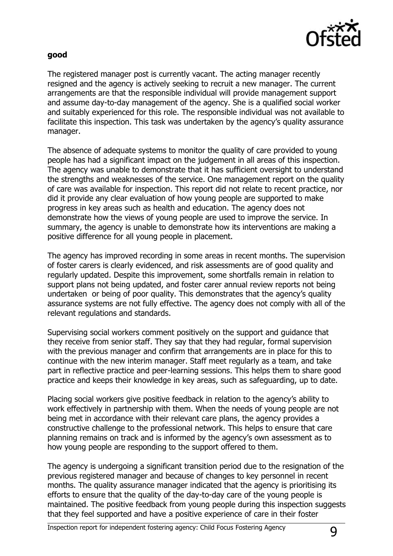

#### **good**

The registered manager post is currently vacant. The acting manager recently resigned and the agency is actively seeking to recruit a new manager. The current arrangements are that the responsible individual will provide management support and assume day-to-day management of the agency. She is a qualified social worker and suitably experienced for this role. The responsible individual was not available to facilitate this inspection. This task was undertaken by the agency's quality assurance manager.

The absence of adequate systems to monitor the quality of care provided to young people has had a significant impact on the judgement in all areas of this inspection. The agency was unable to demonstrate that it has sufficient oversight to understand the strengths and weaknesses of the service. One management report on the quality of care was available for inspection. This report did not relate to recent practice, nor did it provide any clear evaluation of how young people are supported to make progress in key areas such as health and education. The agency does not demonstrate how the views of young people are used to improve the service. In summary, the agency is unable to demonstrate how its interventions are making a positive difference for all young people in placement.

The agency has improved recording in some areas in recent months. The supervision of foster carers is clearly evidenced, and risk assessments are of good quality and regularly updated. Despite this improvement, some shortfalls remain in relation to support plans not being updated, and foster carer annual review reports not being undertaken or being of poor quality. This demonstrates that the agency's quality assurance systems are not fully effective. The agency does not comply with all of the relevant regulations and standards.

Supervising social workers comment positively on the support and guidance that they receive from senior staff. They say that they had regular, formal supervision with the previous manager and confirm that arrangements are in place for this to continue with the new interim manager. Staff meet regularly as a team, and take part in reflective practice and peer-learning sessions. This helps them to share good practice and keeps their knowledge in key areas, such as safeguarding, up to date.

Placing social workers give positive feedback in relation to the agency's ability to work effectively in partnership with them. When the needs of young people are not being met in accordance with their relevant care plans, the agency provides a constructive challenge to the professional network. This helps to ensure that care planning remains on track and is informed by the agency's own assessment as to how young people are responding to the support offered to them.

The agency is undergoing a significant transition period due to the resignation of the previous registered manager and because of changes to key personnel in recent months. The quality assurance manager indicated that the agency is prioritising its efforts to ensure that the quality of the day-to-day care of the young people is maintained. The positive feedback from young people during this inspection suggests that they feel supported and have a positive experience of care in their foster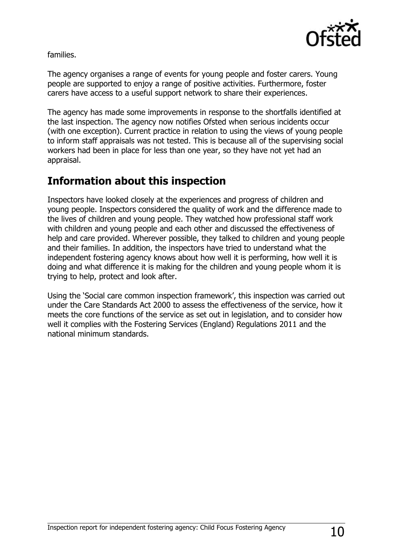

families.

The agency organises a range of events for young people and foster carers. Young people are supported to enjoy a range of positive activities. Furthermore, foster carers have access to a useful support network to share their experiences.

The agency has made some improvements in response to the shortfalls identified at the last inspection. The agency now notifies Ofsted when serious incidents occur (with one exception). Current practice in relation to using the views of young people to inform staff appraisals was not tested. This is because all of the supervising social workers had been in place for less than one year, so they have not yet had an appraisal.

# **Information about this inspection**

Inspectors have looked closely at the experiences and progress of children and young people. Inspectors considered the quality of work and the difference made to the lives of children and young people. They watched how professional staff work with children and young people and each other and discussed the effectiveness of help and care provided. Wherever possible, they talked to children and young people and their families. In addition, the inspectors have tried to understand what the independent fostering agency knows about how well it is performing, how well it is doing and what difference it is making for the children and young people whom it is trying to help, protect and look after.

Using the 'Social care common inspection framework', this inspection was carried out under the Care Standards Act 2000 to assess the effectiveness of the service, how it meets the core functions of the service as set out in legislation, and to consider how well it complies with the Fostering Services (England) Regulations 2011 and the national minimum standards.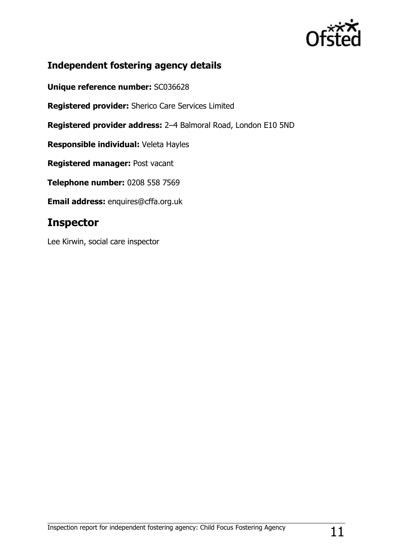

## **Independent fostering agency details**

**Unique reference number:** SC036628

**Registered provider:** Sherico Care Services Limited

**Registered provider address:** 2–4 Balmoral Road, London E10 5ND

**Responsible individual:** Veleta Hayles

**Registered manager:** Post vacant

**Telephone number:** 0208 558 7569

**Email address:** enquires@cffa.org.uk

## **Inspector**

Lee Kirwin, social care inspector